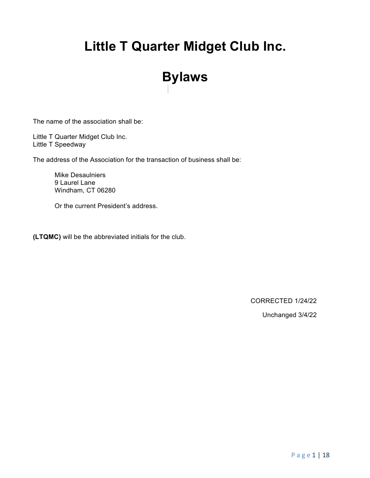# **Little T Quarter Midget Club Inc.**

# **Bylaws**

The name of the association shall be:

Little T Quarter Midget Club Inc. Little T Speedway

The address of the Association for the transaction of business shall be:

Mike Desaulniers 9 Laurel Lane Windham, CT 06280

Or the current President's address.

**(LTQMC)** will be the abbreviated initials for the club.

CORRECTED 1/24/22

Unchanged 3/4/22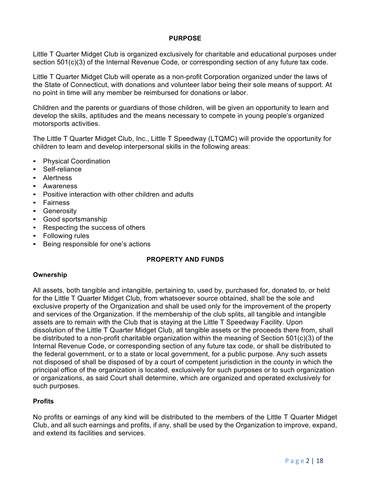# **PURPOSE**

Little T Quarter Midget Club is organized exclusively for charitable and educational purposes under section 501(c)(3) of the Internal Revenue Code, or corresponding section of any future tax code.

Little T Quarter Midget Club will operate as a non-profit Corporation organized under the laws of the State of Connecticut, with donations and volunteer labor being their sole means of support. At no point in time will any member be reimbursed for donations or labor.

Children and the parents or guardians of those children, will be given an opportunity to learn and develop the skills, aptitudes and the means necessary to compete in young people's organized motorsports activities.

The Little T Quarter Midget Club, Inc., Little T Speedway (LTQMC) will provide the opportunity for children to learn and develop interpersonal skills in the following areas:

- Physical Coordination
- Self-reliance
- Alertness
- Awareness
- Positive interaction with other children and adults
- Fairness
- **•** Generosity
- Good sportsmanship
- Respecting the success of others
- Following rules
- Being responsible for one's actions

# **PROPERTY AND FUNDS**

#### **Ownership**

All assets, both tangible and intangible, pertaining to, used by, purchased for, donated to, or held for the Little T Quarter Midget Club, from whatsoever source obtained, shall be the sole and exclusive property of the Organization and shall be used only for the improvement of the property and services of the Organization. If the membership of the club splits, all tangible and intangible assets are to remain with the Club that is staying at the Little T Speedway Facility. Upon dissolution of the Little T Quarter Midget Club, all tangible assets or the proceeds there from, shall be distributed to a non-profit charitable organization within the meaning of Section 501(c)(3) of the Internal Revenue Code, or corresponding section of any future tax code, or shall be distributed to the federal government, or to a state or local government, for a public purpose. Any such assets not disposed of shall be disposed of by a court of competent jurisdiction in the county in which the principal office of the organization is located, exclusively for such purposes or to such organization or organizations, as said Court shall determine, which are organized and operated exclusively for such purposes.

#### **Profits**

No profits or earnings of any kind will be distributed to the members of the Little T Quarter Midget Club, and all such earnings and profits, if any, shall be used by the Organization to improve, expand, and extend its facilities and services.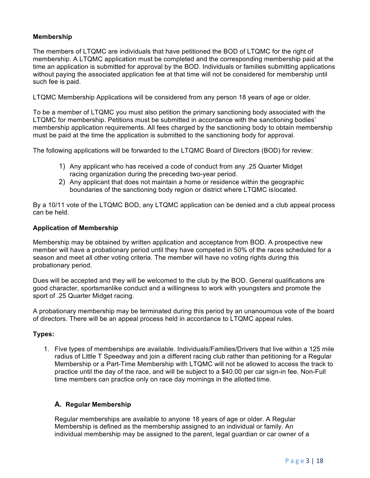# **Membership**

The members of LTQMC are individuals that have petitioned the BOD of LTQMC for the right of membership. A LTQMC application must be completed and the corresponding membership paid at the time an application is submitted for approval by the BOD. Individuals or families submitting applications without paying the associated application fee at that time will not be considered for membership until such fee is paid.

LTQMC Membership Applications will be considered from any person 18 years of age or older.

To be a member of LTQMC you must also petition the primary sanctioning body associated with the LTQMC for membership. Petitions must be submitted in accordance with the sanctioning bodies' membership application requirements. All fees charged by the sanctioning body to obtain membership must be paid at the time the application is submitted to the sanctioning body for approval.

The following applications will be forwarded to the LTQMC Board of Directors (BOD) for review:

- 1) Any applicant who has received a code of conduct from any .25 Quarter Midget racing organization during the preceding two-year period.
- 2) Any applicant that does not maintain a home or residence within the geographic boundaries of the sanctioning body region or district where LTQMC islocated.

By a 10/11 vote of the LTQMC BOD, any LTQMC application can be denied and a club appeal process can be held.

# **Application of Membership**

Membership may be obtained by written application and acceptance from BOD. A prospective new member will have a probationary period until they have competed in 50% of the races scheduled for a season and meet all other voting criteria. The member will have no voting rights during this probationary period.

Dues will be accepted and they will be welcomed to the club by the BOD. General qualifications are good character, sportsmanlike conduct and a willingness to work with youngsters and promote the sport of .25 Quarter Midget racing.

A probationary membership may be terminated during this period by an unanoumous vote of the board of directors. There will be an appeal process held in accordance to LTQMC appeal rules.

# **Types:**

1. Five types of memberships are available. Individuals/Families/Drivers that live within a 125 mile radius of Little T Speedway and join a different racing club rather than petitioning for a Regular Membership or a Part-Time Membership with LTQMC will not be allowed to access the track to practice until the day of the race, and will be subject to a \$40.00 per car sign-in fee. Non-Full time members can practice only on race day mornings in the allotted time.

# **A. Regular Membership**

Regular memberships are available to anyone 18 years of age or older. A Regular Membership is defined as the membership assigned to an individual or family. An individual membership may be assigned to the parent, legal guardian or car owner of a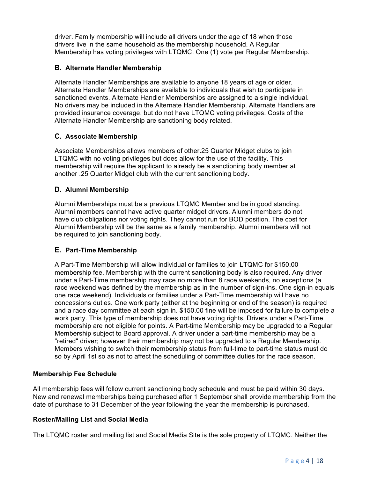driver. Family membership will include all drivers under the age of 18 when those drivers live in the same household as the membership household. A Regular Membership has voting privileges with LTQMC. One (1) vote per Regular Membership.

# **B. Alternate Handler Membership**

Alternate Handler Memberships are available to anyone 18 years of age or older. Alternate Handler Memberships are available to individuals that wish to participate in sanctioned events. Alternate Handler Memberships are assigned to a single individual. No drivers may be included in the Alternate Handler Membership. Alternate Handlers are provided insurance coverage, but do not have LTQMC voting privileges. Costs of the Alternate Handler Membership are sanctioning body related.

# **C. Associate Membership**

Associate Memberships allows members of other.25 Quarter Midget clubs to join LTQMC with no voting privileges but does allow for the use of the facility. This membership will require the applicant to already be a sanctioning body member at another .25 Quarter Midget club with the current sanctioning body.

# **D. Alumni Membership**

Alumni Memberships must be a previous LTQMC Member and be in good standing. Alumni members cannot have active quarter midget drivers. Alumni members do not have club obligations nor voting rights. They cannot run for BOD position. The cost for Alumni Membership will be the same as a family membership. Alumni members will not be required to join sanctioning body.

# **E. Part-Time Membership**

A Part-Time Membership will allow individual or families to join LTQMC for \$150.00 membership fee. Membership with the current sanctioning body is also required. Any driver under a Part-Time membership may race no more than 8 race weekends, no exceptions (a race weekend was defined by the membership as in the number of sign-ins. One sign-in equals one race weekend). Individuals or families under a Part-Time membership will have no concessions duties. One work party (either at the beginning or end of the season) is required and a race day committee at each sign in. \$150.00 fine will be imposed for failure to complete a work party. This type of membership does not have voting rights. Drivers under a Part-Time membership are not eligible for points. A Part-time Membership may be upgraded to a Regular Membership subject to Board approval. A driver under a part-time membership may be a "retired" driver; however their membership may not be upgraded to a Regular Membership. Members wishing to switch their membership status from full-time to part-time status must do so by April 1st so as not to affect the scheduling of committee duties for the race season.

#### **Membership Fee Schedule**

All membership fees will follow current sanctioning body schedule and must be paid within 30 days. New and renewal memberships being purchased after 1 September shall provide membership from the date of purchase to 31 December of the year following the year the membership is purchased.

# **Roster/Mailing List and Social Media**

The LTQMC roster and mailing list and Social Media Site is the sole property of LTQMC. Neither the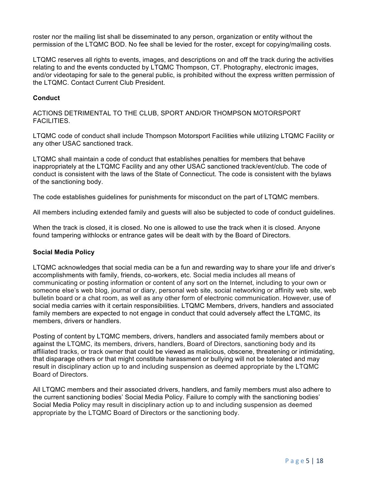roster nor the mailing list shall be disseminated to any person, organization or entity without the permission of the LTQMC BOD. No fee shall be levied for the roster, except for copying/mailing costs.

LTQMC reserves all rights to events, images, and descriptions on and off the track during the activities relating to and the events conducted by LTQMC Thompson, CT. Photography, electronic images, and/or videotaping for sale to the general public, is prohibited without the express written permission of the LTQMC. Contact Current Club President.

# **Conduct**

ACTIONS DETRIMENTAL TO THE CLUB, SPORT AND/OR THOMPSON MOTORSPORT FACILITIES.

LTQMC code of conduct shall include Thompson Motorsport Facilities while utilizing LTQMC Facility or any other USAC sanctioned track.

LTQMC shall maintain a code of conduct that establishes penalties for members that behave inappropriately at the LTQMC Facility and any other USAC sanctioned track/event/club. The code of conduct is consistent with the laws of the State of Connecticut. The code is consistent with the bylaws of the sanctioning body.

The code establishes guidelines for punishments for misconduct on the part of LTQMC members.

All members including extended family and guests will also be subjected to code of conduct guidelines.

When the track is closed, it is closed. No one is allowed to use the track when it is closed. Anyone found tampering withlocks or entrance gates will be dealt with by the Board of Directors.

#### **Social Media Policy**

LTQMC acknowledges that social media can be a fun and rewarding way to share your life and driver's accomplishments with family, friends, co-workers, etc. Social media includes all means of communicating or posting information or content of any sort on the Internet, including to your own or someone else's web blog, journal or diary, personal web site, social networking or affinity web site, web bulletin board or a chat room, as well as any other form of electronic communication. However, use of social media carries with it certain responsibilities. LTQMC Members, drivers, handlers and associated family members are expected to not engage in conduct that could adversely affect the LTQMC, its members, drivers or handlers.

Posting of content by LTQMC members, drivers, handlers and associated family members about or against the LTQMC, its members, drivers, handlers, Board of Directors, sanctioning body and its affiliated tracks, or track owner that could be viewed as malicious, obscene, threatening or intimidating, that disparage others or that might constitute harassment or bullying will not be tolerated and may result in disciplinary action up to and including suspension as deemed appropriate by the LTQMC Board of Directors.

All LTQMC members and their associated drivers, handlers, and family members must also adhere to the current sanctioning bodies' Social Media Policy. Failure to comply with the sanctioning bodies' Social Media Policy may result in disciplinary action up to and including suspension as deemed appropriate by the LTQMC Board of Directors or the sanctioning body.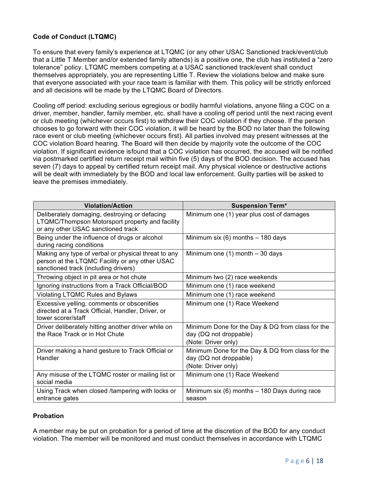# **Code of Conduct (LTQMC)**

To ensure that every family's experience at LTQMC (or any other USAC Sanctioned track/event/club that a Little T Member and/or extended family attends) is a positive one, the club has instituted a "zero tolerance" policy. LTQMC members competing at a USAC sanctioned track/event shall conduct themselves appropriately, you are representing Little T. Review the violations below and make sure that everyone associated with your race team is familiar with them. This policy will be strictly enforced and all decisions will be made by the LTQMC Board of Directors.

Cooling off period: excluding serious egregious or bodily harmful violations, anyone filing a COC on a driver, member, handler, family member, etc. shall have a cooling off period until the next racing event or club meeting (whichever occurs first) to withdraw their COC violation if they choose. If the person chooses to go forward with their COC violation, it will be heard by the BOD no later than the following race event or club meeting (whichever occurs first). All parties involved may present witnesses at the COC violation Board hearing. The Board will then decide by majority vote the outcome of the COC violation. If significant evidence isfound that a COC violation has occurred, the accused will be notified via postmarked certified return receipt mail within five (5) days of the BOD decision. The accused has seven (7) days to appeal by certified return receipt mail. Any physical violence or destructive actions will be dealt with immediately by the BOD and local law enforcement. Guilty parties will be asked to leave the premises immediately.

| <b>Violation/Action</b>                                                                                                                       | <b>Suspension Term*</b>                                                                           |
|-----------------------------------------------------------------------------------------------------------------------------------------------|---------------------------------------------------------------------------------------------------|
| Deliberately damaging, destroying or defacing<br>LTQMC/Thompson Motorsport property and facility<br>or any other USAC sanctioned track        | Minimum one (1) year plus cost of damages                                                         |
| Being under the influence of drugs or alcohol<br>during racing conditions                                                                     | Minimum six $(6)$ months $-$ 180 days                                                             |
| Making any type of verbal or physical threat to any<br>person at the LTQMC Facility or any other USAC<br>sanctioned track (including drivers) | Minimum one $(1)$ month $-30$ days                                                                |
| Throwing object in pit area or hot chute                                                                                                      | Minimum two (2) race weekends                                                                     |
| Ignoring instructions from a Track Official/BOD                                                                                               | Minimum one (1) race weekend                                                                      |
| Violating LTQMC Rules and Bylaws                                                                                                              | Minimum one (1) race weekend                                                                      |
| Excessive yelling, comments or obscenities<br>directed at a Track Official, Handler, Driver, or<br>tower scorer/staff                         | Minimum one (1) Race Weekend                                                                      |
| Driver deliberately hitting another driver while on<br>the Race Track or in Hot Chute                                                         | Minimum Done for the Day & DQ from class for the<br>day (DQ not droppable)<br>(Note: Driver only) |
| Driver making a hand gesture to Track Official or<br>Handler                                                                                  | Minimum Done for the Day & DQ from class for the<br>day (DQ not droppable)<br>(Note: Driver only) |
| Any misuse of the LTQMC roster or mailing list or<br>social media                                                                             | Minimum one (1) Race Weekend                                                                      |
| Using Track when closed /tampering with locks or<br>entrance gates                                                                            | Minimum six $(6)$ months $-$ 180 Days during race<br>season                                       |

# **Probation**

A member may be put on probation for a period of time at the discretion of the BOD for any conduct violation. The member will be monitored and must conduct themselves in accordance with LTQMC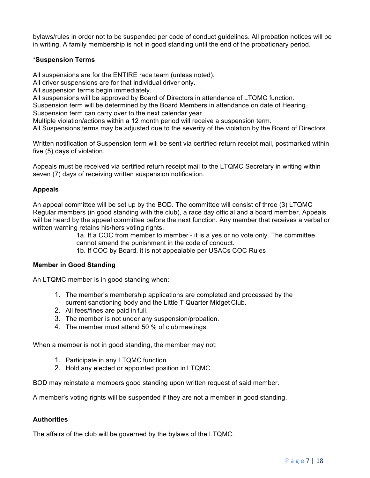bylaws/rules in order not to be suspended per code of conduct guidelines. All probation notices will be in writing. A family membership is not in good standing until the end of the probationary period.

# **\*Suspension Terms**

All suspensions are for the ENTIRE race team (unless noted).

All driver suspensions are for that individual driver only.

All suspension terms begin immediately.

All suspensions will be approved by Board of Directors in attendance of LTQMC function.

Suspension term will be determined by the Board Members in attendance on date of Hearing. Suspension term can carry over to the next calendar year.

Multiple violation/actions within a 12 month period will receive a suspension term.

All Suspensions terms may be adjusted due to the severity of the violation by the Board of Directors.

Written notification of Suspension term will be sent via certified return receipt mail, postmarked within five (5) days of violation.

Appeals must be received via certified return receipt mail to the LTQMC Secretary in writing within seven (7) days of receiving written suspension notification.

# **Appeals**

An appeal committee will be set up by the BOD. The committee will consist of three (3) LTQMC Regular members (in good standing with the club), a race day official and a board member. Appeals will be heard by the appeal committee before the next function. Any member that receives a verbal or written warning retains his/hers voting rights.

1a. If a COC from member to member - it is a yes or no vote only. The committee cannot amend the punishment in the code of conduct.

1b. If COC by Board, it is not appealable per USACs COC Rules

#### **Member in Good Standing**

An LTQMC member is in good standing when:

- 1. The member's membership applications are completed and processed by the current sanctioning body and the Little T Quarter Midget Club.
- 2. All fees/fines are paid in full.
- 3. The member is not under any suspension/probation.
- 4. The member must attend 50 % of club meetings.

When a member is not in good standing, the member may not:

- 1. Participate in any LTQMC function.
- 2. Hold any elected or appointed position in LTQMC.

BOD may reinstate a members good standing upon written request of said member.

A member's voting rights will be suspended if they are not a member in good standing.

#### **Authorities**

The affairs of the club will be governed by the bylaws of the LTQMC.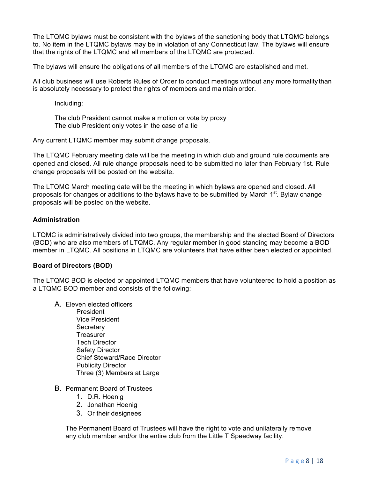The LTQMC bylaws must be consistent with the bylaws of the sanctioning body that LTQMC belongs to. No item in the LTQMC bylaws may be in violation of any Connecticut law. The bylaws will ensure that the rights of the LTQMC and all members of the LTQMC are protected.

The bylaws will ensure the obligations of all members of the LTQMC are established and met.

All club business will use Roberts Rules of Order to conduct meetings without any more formality than is absolutely necessary to protect the rights of members and maintain order.

Including:

The club President cannot make a motion or vote by proxy The club President only votes in the case of a tie

Any current LTQMC member may submit change proposals.

The LTQMC February meeting date will be the meeting in which club and ground rule documents are opened and closed. All rule change proposals need to be submitted no later than February 1st. Rule change proposals will be posted on the website.

The LTQMC March meeting date will be the meeting in which bylaws are opened and closed. All proposals for changes or additions to the bylaws have to be submitted by March 1<sup>st</sup>. Bylaw change proposals will be posted on the website.

# **Administration**

LTQMC is administratively divided into two groups, the membership and the elected Board of Directors (BOD) who are also members of LTQMC. Any regular member in good standing may become a BOD member in LTQMC. All positions in LTQMC are volunteers that have either been elected or appointed.

#### **Board of Directors (BOD)**

The LTQMC BOD is elected or appointed LTQMC members that have volunteered to hold a position as a LTQMC BOD member and consists of the following:

- A. Eleven elected officers President Vice President **Secretary Treasurer** Tech Director Safety Director Chief Steward/Race Director Publicity Director Three (3) Members at Large
- B. Permanent Board of Trustees
	- 1. D.R. Hoenig
	- 2. Jonathan Hoenig
	- 3. Or their designees

The Permanent Board of Trustees will have the right to vote and unilaterally remove any club member and/or the entire club from the Little T Speedway facility.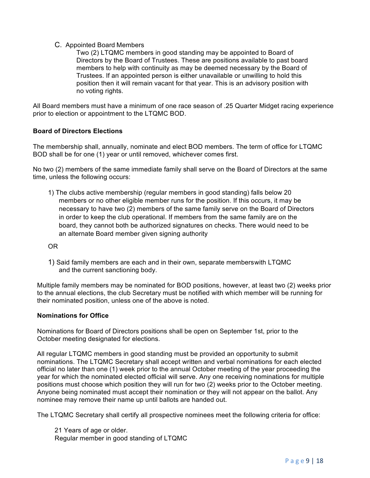# C. Appointed Board Members

Two (2) LTQMC members in good standing may be appointed to Board of Directors by the Board of Trustees. These are positions available to past board members to help with continuity as may be deemed necessary by the Board of Trustees. If an appointed person is either unavailable or unwilling to hold this position then it will remain vacant for that year. This is an advisory position with no voting rights.

All Board members must have a minimum of one race season of .25 Quarter Midget racing experience prior to election or appointment to the LTQMC BOD.

# **Board of Directors Elections**

The membership shall, annually, nominate and elect BOD members. The term of office for LTQMC BOD shall be for one (1) year or until removed, whichever comes first.

No two (2) members of the same immediate family shall serve on the Board of Directors at the same time, unless the following occurs:

1) The clubs active membership (regular members in good standing) falls below 20 members or no other eligible member runs for the position. If this occurs, it may be necessary to have two (2) members of the same family serve on the Board of Directors in order to keep the club operational. If members from the same family are on the board, they cannot both be authorized signatures on checks. There would need to be an alternate Board member given signing authority

OR

1) Said family members are each and in their own, separate memberswith LTQMC and the current sanctioning body.

Multiple family members may be nominated for BOD positions, however, at least two (2) weeks prior to the annual elections, the club Secretary must be notified with which member will be running for their nominated position, unless one of the above is noted.

#### **Nominations for Office**

Nominations for Board of Directors positions shall be open on September 1st, prior to the October meeting designated for elections.

All regular LTQMC members in good standing must be provided an opportunity to submit nominations. The LTQMC Secretary shall accept written and verbal nominations for each elected official no later than one (1) week prior to the annual October meeting of the year proceeding the year for which the nominated elected official will serve. Any one receiving nominations for multiple positions must choose which position they will run for two (2) weeks prior to the October meeting. Anyone being nominated must accept their nomination or they will not appear on the ballot. Any nominee may remove their name up until ballots are handed out.

The LTQMC Secretary shall certify all prospective nominees meet the following criteria for office:

21 Years of age or older. Regular member in good standing of LTQMC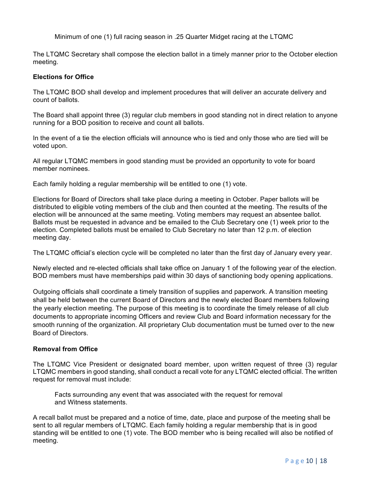Minimum of one (1) full racing season in .25 Quarter Midget racing at the LTQMC

The LTQMC Secretary shall compose the election ballot in a timely manner prior to the October election meeting.

# **Elections for Office**

The LTQMC BOD shall develop and implement procedures that will deliver an accurate delivery and count of ballots.

The Board shall appoint three (3) regular club members in good standing not in direct relation to anyone running for a BOD position to receive and count all ballots.

In the event of a tie the election officials will announce who is tied and only those who are tied will be voted upon.

All regular LTQMC members in good standing must be provided an opportunity to vote for board member nominees.

Each family holding a regular membership will be entitled to one (1) vote.

Elections for Board of Directors shall take place during a meeting in October. Paper ballots will be distributed to eligible voting members of the club and then counted at the meeting. The results of the election will be announced at the same meeting. Voting members may request an absentee ballot. Ballots must be requested in advance and be emailed to the Club Secretary one (1) week prior to the election. Completed ballots must be emailed to Club Secretary no later than 12 p.m. of election meeting day.

The LTQMC official's election cycle will be completed no later than the first day of January every year.

Newly elected and re-elected officials shall take office on January 1 of the following year of the election. BOD members must have memberships paid within 30 days of sanctioning body opening applications.

Outgoing officials shall coordinate a timely transition of supplies and paperwork. A transition meeting shall be held between the current Board of Directors and the newly elected Board members following the yearly election meeting. The purpose of this meeting is to coordinate the timely release of all club documents to appropriate incoming Officers and review Club and Board information necessary for the smooth running of the organization. All proprietary Club documentation must be turned over to the new Board of Directors.

#### **Removal from Office**

The LTQMC Vice President or designated board member, upon written request of three (3) regular LTQMC members in good standing, shall conduct a recall vote for any LTQMC elected official. The written request for removal must include:

Facts surrounding any event that was associated with the request for removal and Witness statements.

A recall ballot must be prepared and a notice of time, date, place and purpose of the meeting shall be sent to all regular members of LTQMC. Each family holding a regular membership that is in good standing will be entitled to one (1) vote. The BOD member who is being recalled will also be notified of meeting.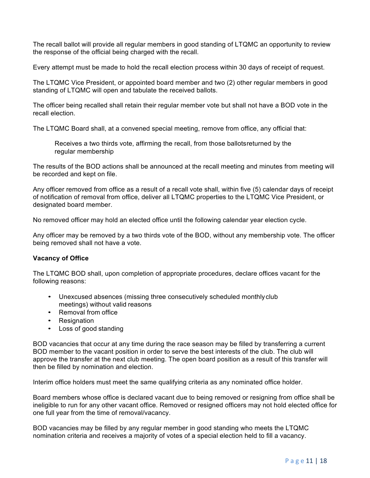The recall ballot will provide all regular members in good standing of LTQMC an opportunity to review the response of the official being charged with the recall.

Every attempt must be made to hold the recall election process within 30 days of receipt of request.

The LTQMC Vice President, or appointed board member and two (2) other regular members in good standing of LTQMC will open and tabulate the received ballots.

The officer being recalled shall retain their regular member vote but shall not have a BOD vote in the recall election.

The LTQMC Board shall, at a convened special meeting, remove from office, any official that:

Receives a two thirds vote, affirming the recall, from those ballotsreturned by the regular membership

The results of the BOD actions shall be announced at the recall meeting and minutes from meeting will be recorded and kept on file.

Any officer removed from office as a result of a recall vote shall, within five (5) calendar days of receipt of notification of removal from office, deliver all LTQMC properties to the LTQMC Vice President, or designated board member.

No removed officer may hold an elected office until the following calendar year election cycle.

Any officer may be removed by a two thirds vote of the BOD, without any membership vote. The officer being removed shall not have a vote.

#### **Vacancy of Office**

The LTQMC BOD shall, upon completion of appropriate procedures, declare offices vacant for the following reasons:

- Unexcused absences (missing three consecutively scheduled monthlyclub meetings) without valid reasons
- Removal from office
- Resignation
- Loss of good standing

BOD vacancies that occur at any time during the race season may be filled by transferring a current BOD member to the vacant position in order to serve the best interests of the club. The club will approve the transfer at the next club meeting. The open board position as a result of this transfer will then be filled by nomination and election.

Interim office holders must meet the same qualifying criteria as any nominated office holder.

Board members whose office is declared vacant due to being removed or resigning from office shall be ineligible to run for any other vacant office. Removed or resigned officers may not hold elected office for one full year from the time of removal/vacancy.

BOD vacancies may be filled by any regular member in good standing who meets the LTQMC nomination criteria and receives a majority of votes of a special election held to fill a vacancy.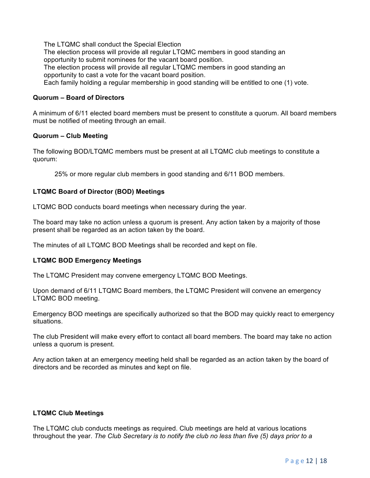The LTQMC shall conduct the Special Election

The election process will provide all regular LTQMC members in good standing an opportunity to submit nominees for the vacant board position.

The election process will provide all regular LTQMC members in good standing an opportunity to cast a vote for the vacant board position.

Each family holding a regular membership in good standing will be entitled to one (1) vote.

#### **Quorum – Board of Directors**

A minimum of 6/11 elected board members must be present to constitute a quorum. All board members must be notified of meeting through an email.

# **Quorum – Club Meeting**

The following BOD/LTQMC members must be present at all LTQMC club meetings to constitute a quorum:

25% or more regular club members in good standing and 6/11 BOD members.

# **LTQMC Board of Director (BOD) Meetings**

LTQMC BOD conducts board meetings when necessary during the year.

The board may take no action unless a quorum is present. Any action taken by a majority of those present shall be regarded as an action taken by the board.

The minutes of all LTQMC BOD Meetings shall be recorded and kept on file.

#### **LTQMC BOD Emergency Meetings**

The LTQMC President may convene emergency LTQMC BOD Meetings.

Upon demand of 6/11 LTQMC Board members, the LTQMC President will convene an emergency LTQMC BOD meeting.

Emergency BOD meetings are specifically authorized so that the BOD may quickly react to emergency situations.

The club President will make every effort to contact all board members. The board may take no action unless a quorum is present.

Any action taken at an emergency meeting held shall be regarded as an action taken by the board of directors and be recorded as minutes and kept on file.

# **LTQMC Club Meetings**

The LTQMC club conducts meetings as required. Club meetings are held at various locations throughout the year. *The Club Secretary is to notify the club no less than five (5) days prior to a*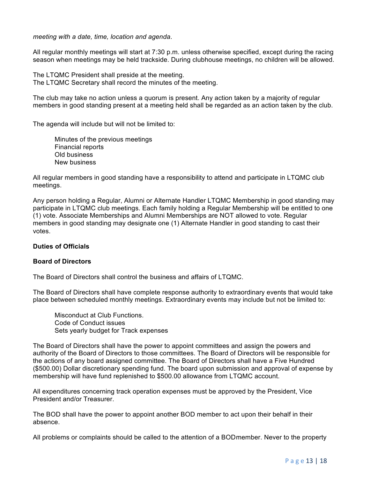*meeting with a date, time, location and agenda*.

All regular monthly meetings will start at 7:30 p.m. unless otherwise specified, except during the racing season when meetings may be held trackside. During clubhouse meetings, no children will be allowed.

The LTQMC President shall preside at the meeting. The LTQMC Secretary shall record the minutes of the meeting.

The club may take no action unless a quorum is present. Any action taken by a majority of regular members in good standing present at a meeting held shall be regarded as an action taken by the club.

The agenda will include but will not be limited to:

Minutes of the previous meetings Financial reports Old business New business

All regular members in good standing have a responsibility to attend and participate in LTQMC club meetings.

Any person holding a Regular, Alumni or Alternate Handler LTQMC Membership in good standing may participate in LTQMC club meetings. Each family holding a Regular Membership will be entitled to one (1) vote. Associate Memberships and Alumni Memberships are NOT allowed to vote. Regular members in good standing may designate one (1) Alternate Handler in good standing to cast their votes.

#### **Duties of Officials**

#### **Board of Directors**

The Board of Directors shall control the business and affairs of LTQMC.

The Board of Directors shall have complete response authority to extraordinary events that would take place between scheduled monthly meetings. Extraordinary events may include but not be limited to:

Misconduct at Club Functions. Code of Conduct issues Sets yearly budget for Track expenses

The Board of Directors shall have the power to appoint committees and assign the powers and authority of the Board of Directors to those committees. The Board of Directors will be responsible for the actions of any board assigned committee. The Board of Directors shall have a Five Hundred (\$500.00) Dollar discretionary spending fund. The board upon submission and approval of expense by membership will have fund replenished to \$500.00 allowance from LTQMC account.

All expenditures concerning track operation expenses must be approved by the President, Vice President and/or Treasurer.

The BOD shall have the power to appoint another BOD member to act upon their behalf in their absence.

All problems or complaints should be called to the attention of a BODmember. Never to the property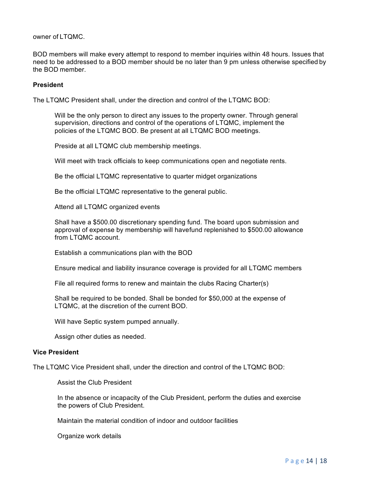owner of LTQMC.

BOD members will make every attempt to respond to member inquiries within 48 hours. Issues that need to be addressed to a BOD member should be no later than 9 pm unless otherwise specified by the BOD member.

#### **President**

The LTQMC President shall, under the direction and control of the LTQMC BOD:

Will be the only person to direct any issues to the property owner. Through general supervision, directions and control of the operations of LTQMC, implement the policies of the LTQMC BOD. Be present at all LTQMC BOD meetings.

Preside at all LTQMC club membership meetings.

Will meet with track officials to keep communications open and negotiate rents.

Be the official LTQMC representative to quarter midget organizations

Be the official LTQMC representative to the general public.

Attend all LTQMC organized events

Shall have a \$500.00 discretionary spending fund. The board upon submission and approval of expense by membership will havefund replenished to \$500.00 allowance from LTQMC account.

Establish a communications plan with the BOD

Ensure medical and liability insurance coverage is provided for all LTQMC members

File all required forms to renew and maintain the clubs Racing Charter(s)

Shall be required to be bonded. Shall be bonded for \$50,000 at the expense of LTQMC, at the discretion of the current BOD.

Will have Septic system pumped annually.

Assign other duties as needed.

#### **Vice President**

The LTQMC Vice President shall, under the direction and control of the LTQMC BOD:

Assist the Club President

In the absence or incapacity of the Club President, perform the duties and exercise the powers of Club President.

Maintain the material condition of indoor and outdoor facilities

Organize work details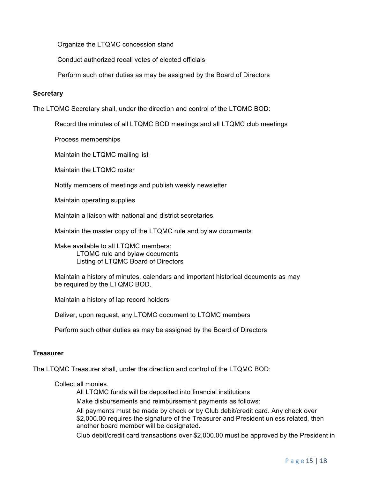Organize the LTQMC concession stand

Conduct authorized recall votes of elected officials

Perform such other duties as may be assigned by the Board of Directors

#### **Secretary**

The LTQMC Secretary shall, under the direction and control of the LTQMC BOD:

Record the minutes of all LTQMC BOD meetings and all LTQMC club meetings

Process memberships

Maintain the LTQMC mailing list

Maintain the LTQMC roster

Notify members of meetings and publish weekly newsletter

Maintain operating supplies

Maintain a liaison with national and district secretaries

Maintain the master copy of the LTQMC rule and bylaw documents

Make available to all LTQMC members: LTQMC rule and bylaw documents Listing of LTQMC Board of Directors

Maintain a history of minutes, calendars and important historical documents as may be required by the LTQMC BOD.

Maintain a history of lap record holders

Deliver, upon request, any LTQMC document to LTQMC members

Perform such other duties as may be assigned by the Board of Directors

#### **Treasurer**

The LTQMC Treasurer shall, under the direction and control of the LTQMC BOD:

Collect all monies.

All LTQMC funds will be deposited into financial institutions

Make disbursements and reimbursement payments as follows:

All payments must be made by check or by Club debit/credit card. Any check over \$2,000.00 requires the signature of the Treasurer and President unless related, then another board member will be designated.

Club debit/credit card transactions over \$2,000.00 must be approved by the President in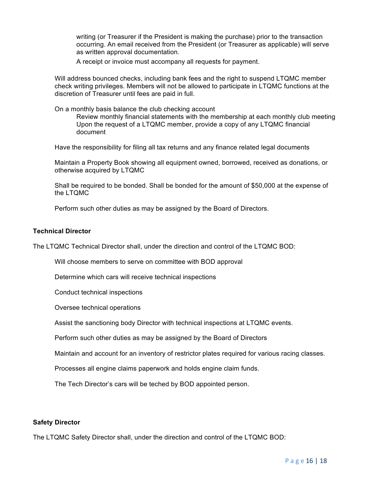writing (or Treasurer if the President is making the purchase) prior to the transaction occurring. An email received from the President (or Treasurer as applicable) will serve as written approval documentation.

A receipt or invoice must accompany all requests for payment.

Will address bounced checks, including bank fees and the right to suspend LTQMC member check writing privileges. Members will not be allowed to participate in LTQMC functions at the discretion of Treasurer until fees are paid in full.

On a monthly basis balance the club checking account

Review monthly financial statements with the membership at each monthly club meeting Upon the request of a LTQMC member, provide a copy of any LTQMC financial document

Have the responsibility for filing all tax returns and any finance related legal documents

Maintain a Property Book showing all equipment owned, borrowed, received as donations, or otherwise acquired by LTQMC

Shall be required to be bonded. Shall be bonded for the amount of \$50,000 at the expense of the LTQMC

Perform such other duties as may be assigned by the Board of Directors.

#### **Technical Director**

The LTQMC Technical Director shall, under the direction and control of the LTQMC BOD:

Will choose members to serve on committee with BOD approval

Determine which cars will receive technical inspections

Conduct technical inspections

Oversee technical operations

Assist the sanctioning body Director with technical inspections at LTQMC events.

Perform such other duties as may be assigned by the Board of Directors

Maintain and account for an inventory of restrictor plates required for various racing classes.

Processes all engine claims paperwork and holds engine claim funds.

The Tech Director's cars will be teched by BOD appointed person.

#### **Safety Director**

The LTQMC Safety Director shall, under the direction and control of the LTQMC BOD: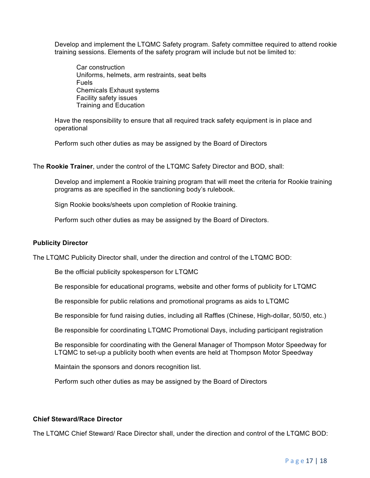Develop and implement the LTQMC Safety program. Safety committee required to attend rookie training sessions. Elements of the safety program will include but not be limited to:

Car construction Uniforms, helmets, arm restraints, seat belts Fuels Chemicals Exhaust systems Facility safety issues Training and Education

Have the responsibility to ensure that all required track safety equipment is in place and operational

Perform such other duties as may be assigned by the Board of Directors

The **Rookie Trainer**, under the control of the LTQMC Safety Director and BOD, shall:

Develop and implement a Rookie training program that will meet the criteria for Rookie training programs as are specified in the sanctioning body's rulebook.

Sign Rookie books/sheets upon completion of Rookie training.

Perform such other duties as may be assigned by the Board of Directors.

#### **Publicity Director**

The LTQMC Publicity Director shall, under the direction and control of the LTQMC BOD:

Be the official publicity spokesperson for LTQMC

Be responsible for educational programs, website and other forms of publicity for LTQMC

Be responsible for public relations and promotional programs as aids to LTQMC

Be responsible for fund raising duties, including all Raffles (Chinese, High-dollar, 50/50, etc.)

Be responsible for coordinating LTQMC Promotional Days, including participant registration

Be responsible for coordinating with the General Manager of Thompson Motor Speedway for LTQMC to set-up a publicity booth when events are held at Thompson Motor Speedway

Maintain the sponsors and donors recognition list.

Perform such other duties as may be assigned by the Board of Directors

#### **Chief Steward/Race Director**

The LTQMC Chief Steward/ Race Director shall, under the direction and control of the LTQMC BOD: